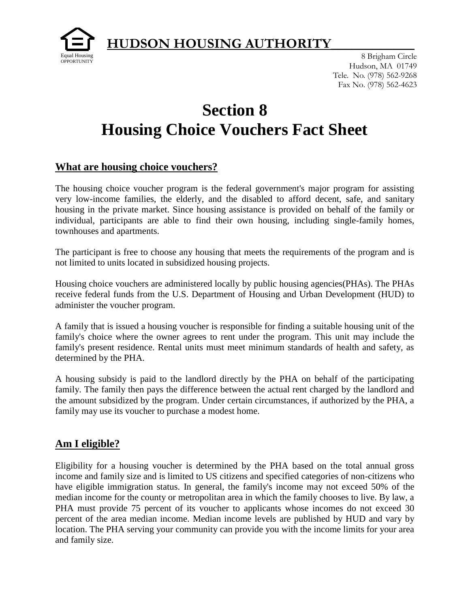

**HUDSON HOUSING AUTHORITY\_\_\_\_\_\_\_\_\_\_\_\_** 

8 Brigham Circle Hudson, MA 01749 Tele. No. (978) 562-9268 Fax No. (978) 562-4623

# **Section 8 Housing Choice Vouchers Fact Sheet**

## **What are housing choice vouchers?**

The housing choice voucher program is the federal government's major program for assisting very low-income families, the elderly, and the disabled to afford decent, safe, and sanitary housing in the private market. Since housing assistance is provided on behalf of the family or individual, participants are able to find their own housing, including single-family homes, townhouses and apartments.

The participant is free to choose any housing that meets the requirements of the program and is not limited to units located in subsidized housing projects.

Housing choice vouchers are administered locally by public housing agencies(PHAs). The PHAs receive federal funds from the U.S. Department of Housing and Urban Development (HUD) to administer the voucher program.

A family that is issued a housing voucher is responsible for finding a suitable housing unit of the family's choice where the owner agrees to rent under the program. This unit may include the family's present residence. Rental units must meet minimum standards of health and safety, as determined by the PHA.

A housing subsidy is paid to the landlord directly by the PHA on behalf of the participating family. The family then pays the difference between the actual rent charged by the landlord and the amount subsidized by the program. Under certain circumstances, if authorized by the PHA, a family may use its voucher to purchase a modest home.

# **Am I eligible?**

Eligibility for a housing voucher is determined by the PHA based on the total annual gross income and family size and is limited to US citizens and specified categories of non-citizens who have eligible immigration status. In general, the family's income may not exceed 50% of the median income for the county or metropolitan area in which the family chooses to live. By law, a PHA must provide 75 percent of its voucher to applicants whose incomes do not exceed 30 percent of the area median income. Median income levels are published by HUD and vary by location. The PHA serving your community can provide you with the income limits for your area and family size.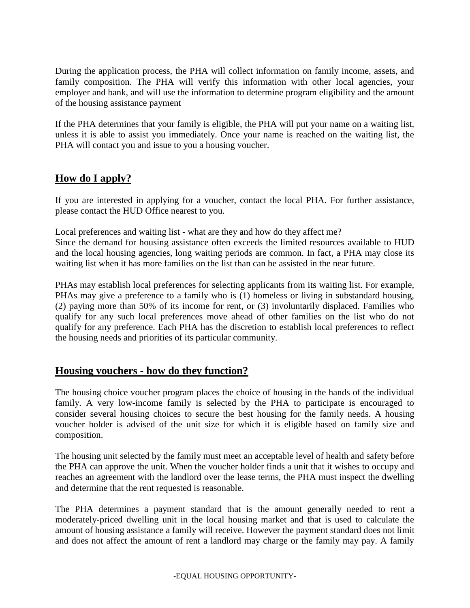During the application process, the PHA will collect information on family income, assets, and family composition. The PHA will verify this information with other local agencies, your employer and bank, and will use the information to determine program eligibility and the amount of the housing assistance payment

If the PHA determines that your family is eligible, the PHA will put your name on a waiting list, unless it is able to assist you immediately. Once your name is reached on the waiting list, the PHA will contact you and issue to you a housing voucher.

## **How do I apply?**

If you are interested in applying for a voucher, contact the local PHA. For further assistance, please contact the HUD Office nearest to you.

Local preferences and waiting list - what are they and how do they affect me? Since the demand for housing assistance often exceeds the limited resources available to HUD and the local housing agencies, long waiting periods are common. In fact, a PHA may close its waiting list when it has more families on the list than can be assisted in the near future.

PHAs may establish local preferences for selecting applicants from its waiting list. For example, PHAs may give a preference to a family who is (1) homeless or living in substandard housing, (2) paying more than 50% of its income for rent, or (3) involuntarily displaced. Families who qualify for any such local preferences move ahead of other families on the list who do not qualify for any preference. Each PHA has the discretion to establish local preferences to reflect the housing needs and priorities of its particular community.

## **Housing vouchers - how do they function?**

The housing choice voucher program places the choice of housing in the hands of the individual family. A very low-income family is selected by the PHA to participate is encouraged to consider several housing choices to secure the best housing for the family needs. A housing voucher holder is advised of the unit size for which it is eligible based on family size and composition.

The housing unit selected by the family must meet an acceptable level of health and safety before the PHA can approve the unit. When the voucher holder finds a unit that it wishes to occupy and reaches an agreement with the landlord over the lease terms, the PHA must inspect the dwelling and determine that the rent requested is reasonable.

The PHA determines a payment standard that is the amount generally needed to rent a moderately-priced dwelling unit in the local housing market and that is used to calculate the amount of housing assistance a family will receive. However the payment standard does not limit and does not affect the amount of rent a landlord may charge or the family may pay. A family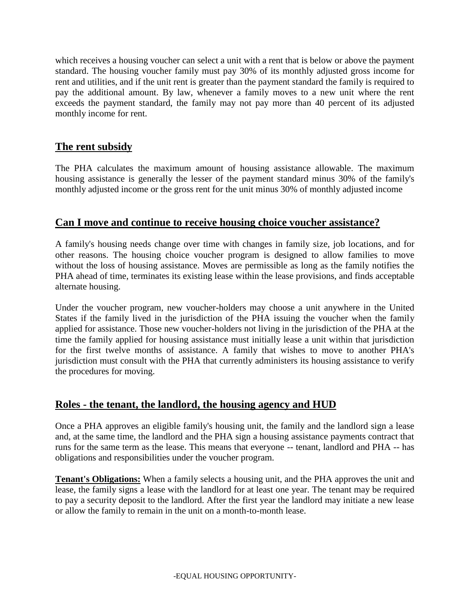which receives a housing voucher can select a unit with a rent that is below or above the payment standard. The housing voucher family must pay 30% of its monthly adjusted gross income for rent and utilities, and if the unit rent is greater than the payment standard the family is required to pay the additional amount. By law, whenever a family moves to a new unit where the rent exceeds the payment standard, the family may not pay more than 40 percent of its adjusted monthly income for rent.

#### **The rent subsidy**

The PHA calculates the maximum amount of housing assistance allowable. The maximum housing assistance is generally the lesser of the payment standard minus 30% of the family's monthly adjusted income or the gross rent for the unit minus 30% of monthly adjusted income

#### **Can I move and continue to receive housing choice voucher assistance?**

A family's housing needs change over time with changes in family size, job locations, and for other reasons. The housing choice voucher program is designed to allow families to move without the loss of housing assistance. Moves are permissible as long as the family notifies the PHA ahead of time, terminates its existing lease within the lease provisions, and finds acceptable alternate housing.

Under the voucher program, new voucher-holders may choose a unit anywhere in the United States if the family lived in the jurisdiction of the PHA issuing the voucher when the family applied for assistance. Those new voucher-holders not living in the jurisdiction of the PHA at the time the family applied for housing assistance must initially lease a unit within that jurisdiction for the first twelve months of assistance. A family that wishes to move to another PHA's jurisdiction must consult with the PHA that currently administers its housing assistance to verify the procedures for moving.

#### **Roles - the tenant, the landlord, the housing agency and HUD**

Once a PHA approves an eligible family's housing unit, the family and the landlord sign a lease and, at the same time, the landlord and the PHA sign a housing assistance payments contract that runs for the same term as the lease. This means that everyone -- tenant, landlord and PHA -- has obligations and responsibilities under the voucher program.

**Tenant's Obligations:** When a family selects a housing unit, and the PHA approves the unit and lease, the family signs a lease with the landlord for at least one year. The tenant may be required to pay a security deposit to the landlord. After the first year the landlord may initiate a new lease or allow the family to remain in the unit on a month-to-month lease.